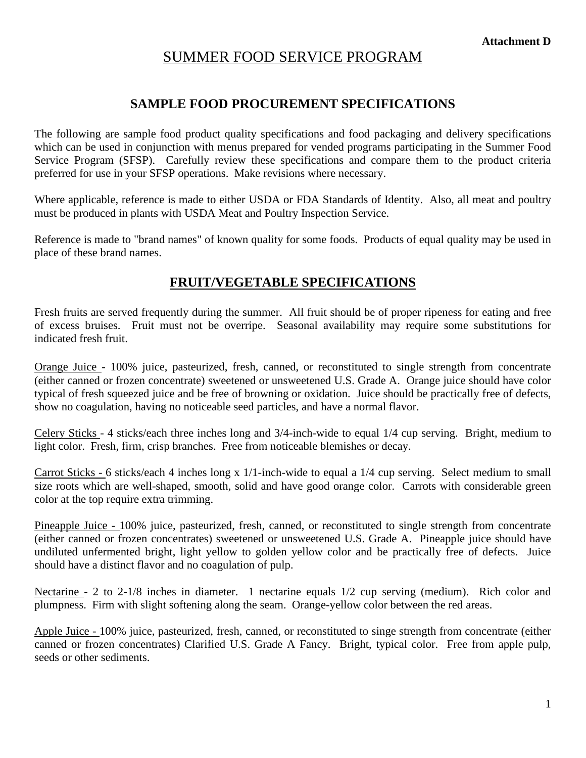# SUMMER FOOD SERVICE PROGRAM

### **SAMPLE FOOD PROCUREMENT SPECIFICATIONS**

The following are sample food product quality specifications and food packaging and delivery specifications which can be used in conjunction with menus prepared for vended programs participating in the Summer Food Service Program (SFSP). Carefully review these specifications and compare them to the product criteria preferred for use in your SFSP operations. Make revisions where necessary.

Where applicable, reference is made to either USDA or FDA Standards of Identity. Also, all meat and poultry must be produced in plants with USDA Meat and Poultry Inspection Service.

Reference is made to "brand names" of known quality for some foods. Products of equal quality may be used in place of these brand names.

## **FRUIT/VEGETABLE SPECIFICATIONS**

Fresh fruits are served frequently during the summer. All fruit should be of proper ripeness for eating and free of excess bruises. Fruit must not be overripe. Seasonal availability may require some substitutions for indicated fresh fruit.

Orange Juice - 100% juice, pasteurized, fresh, canned, or reconstituted to single strength from concentrate (either canned or frozen concentrate) sweetened or unsweetened U.S. Grade A. Orange juice should have color typical of fresh squeezed juice and be free of browning or oxidation. Juice should be practically free of defects, show no coagulation, having no noticeable seed particles, and have a normal flavor.

Celery Sticks - 4 sticks/each three inches long and 3/4-inch-wide to equal 1/4 cup serving. Bright, medium to light color. Fresh, firm, crisp branches. Free from noticeable blemishes or decay.

Carrot Sticks - 6 sticks/each 4 inches long x 1/1-inch-wide to equal a 1/4 cup serving. Select medium to small size roots which are well-shaped, smooth, solid and have good orange color. Carrots with considerable green color at the top require extra trimming.

Pineapple Juice - 100% juice, pasteurized, fresh, canned, or reconstituted to single strength from concentrate (either canned or frozen concentrates) sweetened or unsweetened U.S. Grade A. Pineapple juice should have undiluted unfermented bright, light yellow to golden yellow color and be practically free of defects. Juice should have a distinct flavor and no coagulation of pulp.

Nectarine - 2 to 2-1/8 inches in diameter. 1 nectarine equals 1/2 cup serving (medium). Rich color and plumpness. Firm with slight softening along the seam. Orange-yellow color between the red areas.

Apple Juice - 100% juice, pasteurized, fresh, canned, or reconstituted to singe strength from concentrate (either canned or frozen concentrates) Clarified U.S. Grade A Fancy. Bright, typical color. Free from apple pulp, seeds or other sediments.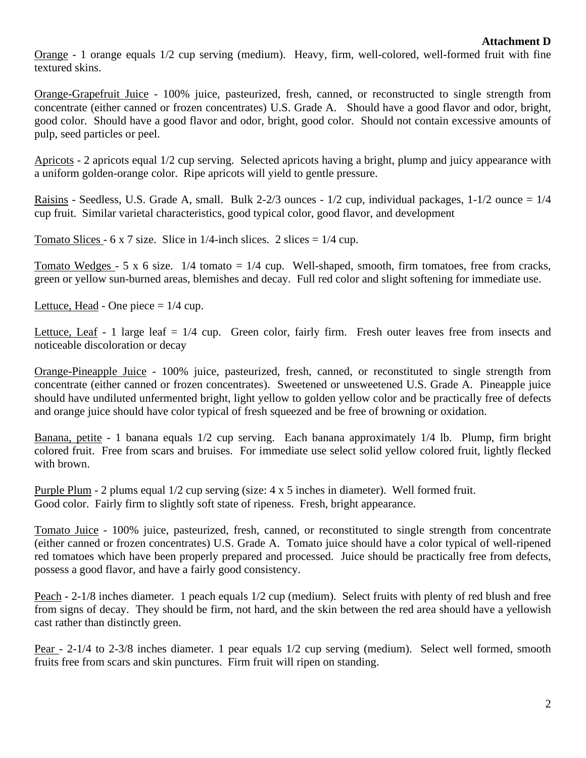Orange - 1 orange equals 1/2 cup serving (medium). Heavy, firm, well-colored, well-formed fruit with fine textured skins.

Orange-Grapefruit Juice - 100% juice, pasteurized, fresh, canned, or reconstructed to single strength from concentrate (either canned or frozen concentrates) U.S. Grade A. Should have a good flavor and odor, bright, good color. Should have a good flavor and odor, bright, good color. Should not contain excessive amounts of pulp, seed particles or peel.

Apricots - 2 apricots equal 1/2 cup serving. Selected apricots having a bright, plump and juicy appearance with a uniform golden-orange color. Ripe apricots will yield to gentle pressure.

Raisins - Seedless, U.S. Grade A, small. Bulk 2-2/3 ounces - 1/2 cup, individual packages, 1-1/2 ounce = 1/4 cup fruit. Similar varietal characteristics, good typical color, good flavor, and development

Tomato Slices - 6 x 7 size. Slice in  $1/4$ -inch slices. 2 slices =  $1/4$  cup.

Tomato Wedges  $-$  5 x 6 size.  $1/4$  tomato =  $1/4$  cup. Well-shaped, smooth, firm tomatoes, free from cracks, green or yellow sun-burned areas, blemishes and decay. Full red color and slight softening for immediate use.

Lettuce, Head - One piece  $= 1/4$  cup.

Lettuce, Leaf - 1 large leaf  $= 1/4$  cup. Green color, fairly firm. Fresh outer leaves free from insects and noticeable discoloration or decay

Orange-Pineapple Juice - 100% juice, pasteurized, fresh, canned, or reconstituted to single strength from concentrate (either canned or frozen concentrates). Sweetened or unsweetened U.S. Grade A. Pineapple juice should have undiluted unfermented bright, light yellow to golden yellow color and be practically free of defects and orange juice should have color typical of fresh squeezed and be free of browning or oxidation.

Banana, petite - 1 banana equals 1/2 cup serving. Each banana approximately 1/4 lb. Plump, firm bright colored fruit. Free from scars and bruises. For immediate use select solid yellow colored fruit, lightly flecked with brown.

Purple Plum - 2 plums equal 1/2 cup serving (size: 4 x 5 inches in diameter). Well formed fruit. Good color. Fairly firm to slightly soft state of ripeness. Fresh, bright appearance.

Tomato Juice - 100% juice, pasteurized, fresh, canned, or reconstituted to single strength from concentrate (either canned or frozen concentrates) U.S. Grade A. Tomato juice should have a color typical of well-ripened red tomatoes which have been properly prepared and processed. Juice should be practically free from defects, possess a good flavor, and have a fairly good consistency.

Peach - 2-1/8 inches diameter. 1 peach equals 1/2 cup (medium). Select fruits with plenty of red blush and free from signs of decay. They should be firm, not hard, and the skin between the red area should have a yellowish cast rather than distinctly green.

Pear - 2-1/4 to 2-3/8 inches diameter. 1 pear equals 1/2 cup serving (medium). Select well formed, smooth fruits free from scars and skin punctures. Firm fruit will ripen on standing.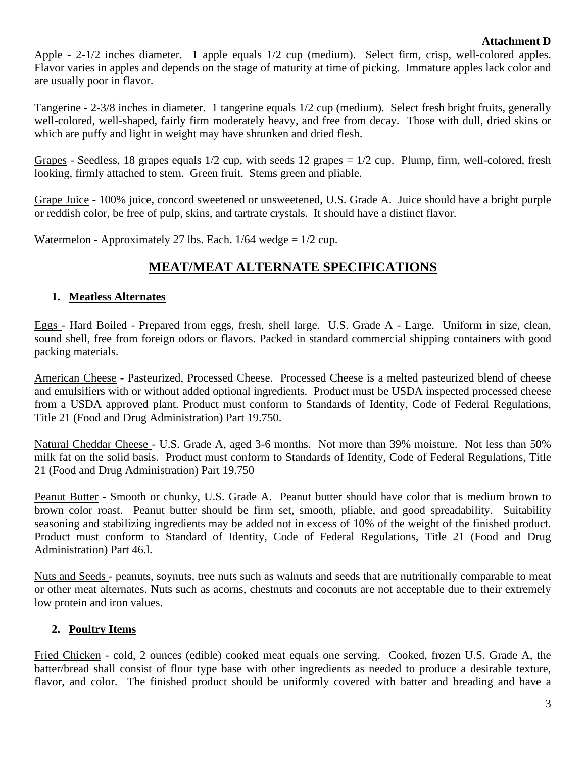#### **Attachment D**

Apple - 2-1/2 inches diameter. 1 apple equals 1/2 cup (medium). Select firm, crisp, well-colored apples. Flavor varies in apples and depends on the stage of maturity at time of picking. Immature apples lack color and are usually poor in flavor.

Tangerine - 2-3/8 inches in diameter. 1 tangerine equals 1/2 cup (medium). Select fresh bright fruits, generally well-colored, well-shaped, fairly firm moderately heavy, and free from decay. Those with dull, dried skins or which are puffy and light in weight may have shrunken and dried flesh.

Grapes - Seedless, 18 grapes equals 1/2 cup, with seeds 12 grapes = 1/2 cup. Plump, firm, well-colored, fresh looking, firmly attached to stem. Green fruit. Stems green and pliable.

Grape Juice - 100% juice, concord sweetened or unsweetened, U.S. Grade A. Juice should have a bright purple or reddish color, be free of pulp, skins, and tartrate crystals. It should have a distinct flavor.

Watermelon - Approximately 27 lbs. Each.  $1/64$  wedge =  $1/2$  cup.

## **MEAT/MEAT ALTERNATE SPECIFICATIONS**

#### **1. Meatless Alternates**

Eggs - Hard Boiled - Prepared from eggs, fresh, shell large. U.S. Grade A - Large. Uniform in size, clean, sound shell, free from foreign odors or flavors. Packed in standard commercial shipping containers with good packing materials.

American Cheese - Pasteurized, Processed Cheese. Processed Cheese is a melted pasteurized blend of cheese and emulsifiers with or without added optional ingredients. Product must be USDA inspected processed cheese from a USDA approved plant. Product must conform to Standards of Identity, Code of Federal Regulations, Title 21 (Food and Drug Administration) Part 19.750.

Natural Cheddar Cheese - U.S. Grade A, aged 3-6 months. Not more than 39% moisture. Not less than 50% milk fat on the solid basis. Product must conform to Standards of Identity, Code of Federal Regulations, Title 21 (Food and Drug Administration) Part 19.750

Peanut Butter - Smooth or chunky, U.S. Grade A. Peanut butter should have color that is medium brown to brown color roast. Peanut butter should be firm set, smooth, pliable, and good spreadability. Suitability seasoning and stabilizing ingredients may be added not in excess of 10% of the weight of the finished product. Product must conform to Standard of Identity, Code of Federal Regulations, Title 21 (Food and Drug Administration) Part 46.l.

Nuts and Seeds - peanuts, soynuts, tree nuts such as walnuts and seeds that are nutritionally comparable to meat or other meat alternates. Nuts such as acorns, chestnuts and coconuts are not acceptable due to their extremely low protein and iron values.

### **2. Poultry Items**

Fried Chicken - cold, 2 ounces (edible) cooked meat equals one serving. Cooked, frozen U.S. Grade A, the batter/bread shall consist of flour type base with other ingredients as needed to produce a desirable texture, flavor, and color. The finished product should be uniformly covered with batter and breading and have a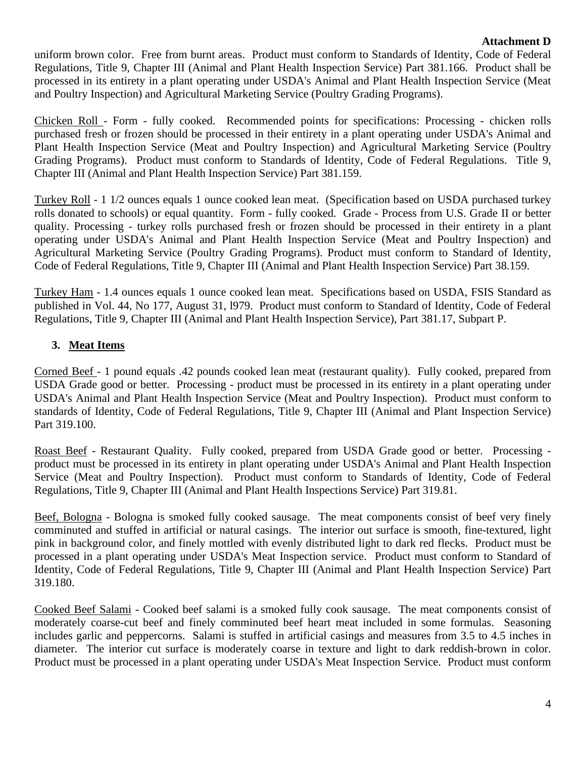### **Attachment D**

uniform brown color. Free from burnt areas. Product must conform to Standards of Identity, Code of Federal Regulations, Title 9, Chapter III (Animal and Plant Health Inspection Service) Part 381.166. Product shall be processed in its entirety in a plant operating under USDA's Animal and Plant Health Inspection Service (Meat and Poultry Inspection) and Agricultural Marketing Service (Poultry Grading Programs).

Chicken Roll - Form - fully cooked. Recommended points for specifications: Processing - chicken rolls purchased fresh or frozen should be processed in their entirety in a plant operating under USDA's Animal and Plant Health Inspection Service (Meat and Poultry Inspection) and Agricultural Marketing Service (Poultry Grading Programs). Product must conform to Standards of Identity, Code of Federal Regulations. Title 9, Chapter III (Animal and Plant Health Inspection Service) Part 381.159.

Turkey Roll - 1 1/2 ounces equals 1 ounce cooked lean meat. (Specification based on USDA purchased turkey rolls donated to schools) or equal quantity. Form - fully cooked. Grade - Process from U.S. Grade II or better quality. Processing - turkey rolls purchased fresh or frozen should be processed in their entirety in a plant operating under USDA's Animal and Plant Health Inspection Service (Meat and Poultry Inspection) and Agricultural Marketing Service (Poultry Grading Programs). Product must conform to Standard of Identity, Code of Federal Regulations, Title 9, Chapter III (Animal and Plant Health Inspection Service) Part 38.159.

Turkey Ham - 1.4 ounces equals 1 ounce cooked lean meat. Specifications based on USDA, FSIS Standard as published in Vol. 44, No 177, August 31, l979. Product must conform to Standard of Identity, Code of Federal Regulations, Title 9, Chapter III (Animal and Plant Health Inspection Service), Part 381.17, Subpart P.

### **3. Meat Items**

Corned Beef - 1 pound equals .42 pounds cooked lean meat (restaurant quality). Fully cooked, prepared from USDA Grade good or better. Processing - product must be processed in its entirety in a plant operating under USDA's Animal and Plant Health Inspection Service (Meat and Poultry Inspection). Product must conform to standards of Identity, Code of Federal Regulations, Title 9, Chapter III (Animal and Plant Inspection Service) Part 319.100.

Roast Beef - Restaurant Quality. Fully cooked, prepared from USDA Grade good or better. Processing product must be processed in its entirety in plant operating under USDA's Animal and Plant Health Inspection Service (Meat and Poultry Inspection). Product must conform to Standards of Identity, Code of Federal Regulations, Title 9, Chapter III (Animal and Plant Health Inspections Service) Part 319.81.

Beef, Bologna - Bologna is smoked fully cooked sausage. The meat components consist of beef very finely comminuted and stuffed in artificial or natural casings. The interior out surface is smooth, fine-textured, light pink in background color, and finely mottled with evenly distributed light to dark red flecks. Product must be processed in a plant operating under USDA's Meat Inspection service. Product must conform to Standard of Identity, Code of Federal Regulations, Title 9, Chapter III (Animal and Plant Health Inspection Service) Part 319.180.

Cooked Beef Salami - Cooked beef salami is a smoked fully cook sausage. The meat components consist of moderately coarse-cut beef and finely comminuted beef heart meat included in some formulas. Seasoning includes garlic and peppercorns. Salami is stuffed in artificial casings and measures from 3.5 to 4.5 inches in diameter. The interior cut surface is moderately coarse in texture and light to dark reddish-brown in color. Product must be processed in a plant operating under USDA's Meat Inspection Service. Product must conform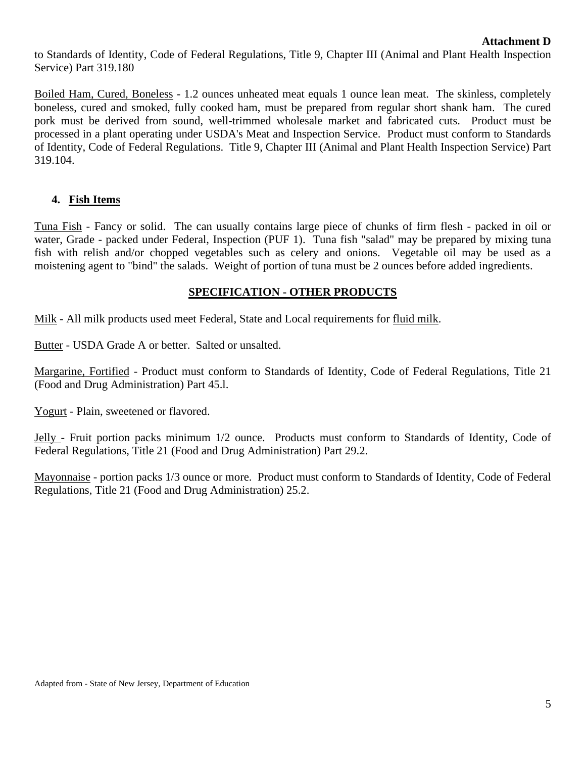to Standards of Identity, Code of Federal Regulations, Title 9, Chapter III (Animal and Plant Health Inspection Service) Part 319.180

Boiled Ham, Cured, Boneless - 1.2 ounces unheated meat equals 1 ounce lean meat. The skinless, completely boneless, cured and smoked, fully cooked ham, must be prepared from regular short shank ham. The cured pork must be derived from sound, well-trimmed wholesale market and fabricated cuts. Product must be processed in a plant operating under USDA's Meat and Inspection Service. Product must conform to Standards of Identity, Code of Federal Regulations. Title 9, Chapter III (Animal and Plant Health Inspection Service) Part 319.104.

#### **4. Fish Items**

Tuna Fish - Fancy or solid. The can usually contains large piece of chunks of firm flesh - packed in oil or water, Grade - packed under Federal, Inspection (PUF 1). Tuna fish "salad" may be prepared by mixing tuna fish with relish and/or chopped vegetables such as celery and onions. Vegetable oil may be used as a moistening agent to "bind" the salads. Weight of portion of tuna must be 2 ounces before added ingredients.

### **SPECIFICATION - OTHER PRODUCTS**

Milk - All milk products used meet Federal, State and Local requirements for fluid milk.

Butter - USDA Grade A or better. Salted or unsalted.

Margarine, Fortified - Product must conform to Standards of Identity, Code of Federal Regulations, Title 21 (Food and Drug Administration) Part 45.l.

Yogurt - Plain, sweetened or flavored.

Jelly - Fruit portion packs minimum 1/2 ounce. Products must conform to Standards of Identity, Code of Federal Regulations, Title 21 (Food and Drug Administration) Part 29.2.

Mayonnaise - portion packs 1/3 ounce or more. Product must conform to Standards of Identity, Code of Federal Regulations, Title 21 (Food and Drug Administration) 25.2.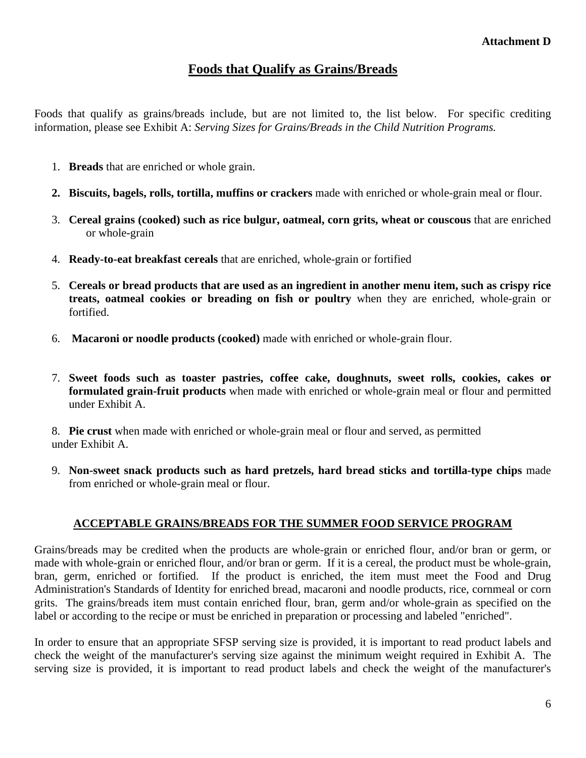### **Foods that Qualify as Grains/Breads**

Foods that qualify as grains/breads include, but are not limited to, the list below. For specific crediting information, please see Exhibit A: *Serving Sizes for Grains/Breads in the Child Nutrition Programs.*

- 1. **Breads** that are enriched or whole grain.
- **2. Biscuits, bagels, rolls, tortilla, muffins or crackers** made with enriched or whole-grain meal or flour.
- 3. **Cereal grains (cooked) such as rice bulgur, oatmeal, corn grits, wheat or couscous** that are enriched or whole-grain
- 4. **Ready-to-eat breakfast cereals** that are enriched, whole-grain or fortified
- 5. **Cereals or bread products that are used as an ingredient in another menu item, such as crispy rice treats, oatmeal cookies or breading on fish or poultry** when they are enriched, whole-grain or fortified.
- 6. **Macaroni or noodle products (cooked)** made with enriched or whole-grain flour.
- 7. **Sweet foods such as toaster pastries, coffee cake, doughnuts, sweet rolls, cookies, cakes or formulated grain-fruit products** when made with enriched or whole-grain meal or flour and permitted under Exhibit A.

8. **Pie crust** when made with enriched or whole-grain meal or flour and served, as permitted under Exhibit A.

9. **Non-sweet snack products such as hard pretzels, hard bread sticks and tortilla-type chips** made from enriched or whole-grain meal or flour.

#### **ACCEPTABLE GRAINS/BREADS FOR THE SUMMER FOOD SERVICE PROGRAM**

Grains/breads may be credited when the products are whole-grain or enriched flour, and/or bran or germ, or made with whole-grain or enriched flour, and/or bran or germ. If it is a cereal, the product must be whole-grain, bran, germ, enriched or fortified. If the product is enriched, the item must meet the Food and Drug Administration's Standards of Identity for enriched bread, macaroni and noodle products, rice, cornmeal or corn grits. The grains/breads item must contain enriched flour, bran, germ and/or whole-grain as specified on the label or according to the recipe or must be enriched in preparation or processing and labeled "enriched".

In order to ensure that an appropriate SFSP serving size is provided, it is important to read product labels and check the weight of the manufacturer's serving size against the minimum weight required in Exhibit A. The serving size is provided, it is important to read product labels and check the weight of the manufacturer's